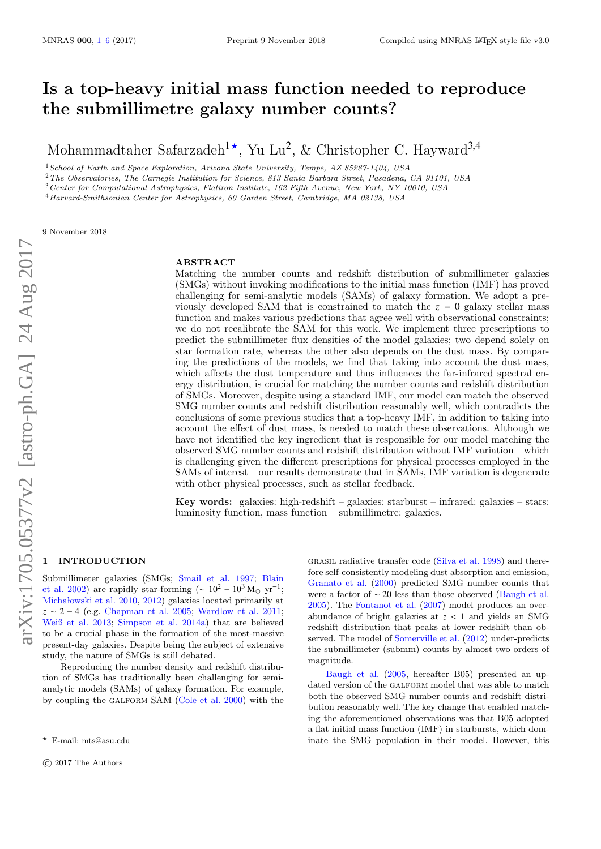# Is a top-heavy initial mass function needed to reproduce the submillimetre galaxy number counts?

Mohammadtaher Safarzadeh<sup>1\*</sup>, Yu Lu<sup>2</sup>, & Christopher C. Hayward<sup>3,4</sup>

<sup>1</sup>School of Earth and Space Exploration, Arizona State University, Tempe, AZ 85287-1404, USA

<sup>2</sup>The Observatories, The Carnegie Institution for Science, 813 Santa Barbara Street, Pasadena, CA 91101, USA

<sup>3</sup>Center for Computational Astrophysics, Flatiron Institute, 162 Fifth Avenue, New York, NY 10010, USA

<sup>4</sup>Harvard-Smithsonian Center for Astrophysics, 60 Garden Street, Cambridge, MA 02138, USA

9 November 2018

## ABSTRACT

Matching the number counts and redshift distribution of submillimeter galaxies (SMGs) without invoking modifications to the initial mass function (IMF) has proved challenging for semi-analytic models (SAMs) of galaxy formation. We adopt a previously developed SAM that is constrained to match the  $z = 0$  galaxy stellar mass function and makes various predictions that agree well with observational constraints; we do not recalibrate the SAM for this work. We implement three prescriptions to predict the submillimeter flux densities of the model galaxies; two depend solely on star formation rate, whereas the other also depends on the dust mass. By comparing the predictions of the models, we find that taking into account the dust mass, which affects the dust temperature and thus influences the far-infrared spectral energy distribution, is crucial for matching the number counts and redshift distribution of SMGs. Moreover, despite using a standard IMF, our model can match the observed SMG number counts and redshift distribution reasonably well, which contradicts the conclusions of some previous studies that a top-heavy IMF, in addition to taking into account the effect of dust mass, is needed to match these observations. Although we have not identified the key ingredient that is responsible for our model matching the observed SMG number counts and redshift distribution without IMF variation – which is challenging given the different prescriptions for physical processes employed in the SAMs of interest – our results demonstrate that in SAMs, IMF variation is degenerate with other physical processes, such as stellar feedback.

Key words: galaxies: high-redshift – galaxies: starburst – infrared: galaxies – stars: luminosity function, mass function – submillimetre: galaxies.

## <span id="page-0-0"></span>**INTRODUCTION**

Submillimeter galaxies (SMGs; [Smail et al.](#page-5-0) [1997;](#page-5-0) [Blain](#page-5-1) [et al.](#page-5-1) [2002\)](#page-5-1) are rapidly star-forming ( $\sim 10^2 - 10^3$  M<sub>o</sub> yr<sup>-1</sup>; Michałowski et al. [2010,](#page-5-2) [2012\)](#page-5-3) galaxies located primarily at *z* ∼ 2 − 4 (e.g. [Chapman et al.](#page-5-4) [2005;](#page-5-4) [Wardlow et al.](#page-5-5) [2011;](#page-5-5) [Weiß et al.](#page-5-6) [2013;](#page-5-6) [Simpson et al.](#page-5-7) [2014a\)](#page-5-7) that are believed to be a crucial phase in the formation of the most-massive present-day galaxies. Despite being the subject of extensive study, the nature of SMGs is still debated.

Reproducing the number density and redshift distribution of SMGs has traditionally been challenging for semianalytic models (SAMs) of galaxy formation. For example, by coupling the galform SAM [\(Cole et al.](#page-5-8) [2000\)](#page-5-8) with the

grasil radiative transfer code [\(Silva et al.](#page-5-9) [1998\)](#page-5-9) and therefore self-consistently modeling dust absorption and emission, [Granato et al.](#page-5-10) [\(2000\)](#page-5-10) predicted SMG number counts that were a factor of  $\sim$  20 less than those observed [\(Baugh et al.](#page-5-11) [2005\)](#page-5-11). The [Fontanot et al.](#page-5-12) [\(2007\)](#page-5-12) model produces an overabundance of bright galaxies at *<sup>z</sup>* < <sup>1</sup> and yields an SMG redshift distribution that peaks at lower redshift than observed. The model of [Somerville et al.](#page-5-13) [\(2012\)](#page-5-13) under-predicts the submillimeter (submm) counts by almost two orders of magnitude.

[Baugh et al.](#page-5-11) [\(2005,](#page-5-11) hereafter B05) presented an updated version of the GALFORM model that was able to match both the observed SMG number counts and redshift distribution reasonably well. The key change that enabled matching the aforementioned observations was that B05 adopted a flat initial mass function (IMF) in starbursts, which dominate the SMG population in their model. However, this

<sup>?</sup> E-mail: mts@asu.edu

<sup>©</sup> 2017 The Authors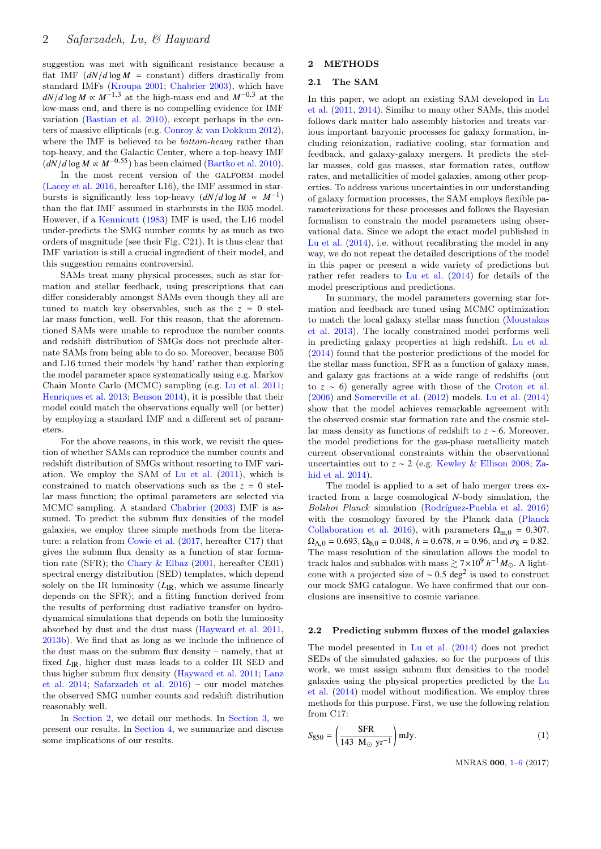suggestion was met with significant resistance because a flat IMF  $(dN/d \log M)$  = constant) differs drastically from standard IMFs [\(Kroupa](#page-5-14) [2001;](#page-5-14) [Chabrier](#page-5-15) [2003\)](#page-5-15), which have  $dN/d \log M \propto M^{-1.3}$  at the high-mass end and  $M^{-0.3}$  at the low-mass end, and there is no compelling evidence for IMF variation [\(Bastian et al.](#page-5-16) [2010\)](#page-5-16), except perhaps in the centers of massive ellipticals (e.g. [Conroy & van Dokkum](#page-5-17) [2012\)](#page-5-17), where the IMF is believed to be *bottom-heavy* rather than top-heavy, and the Galactic Center, where a top-heavy IMF  $(dN/d \log M \propto M^{-0.55})$  has been claimed [\(Bartko et al.](#page-5-18) [2010\)](#page-5-18).

In the most recent version of the GALFORM model [\(Lacey et al.](#page-5-19) [2016,](#page-5-19) hereafter L16), the IMF assumed in starbursts is significantly less top-heavy  $(dN/d \log M \propto M^{-1})$ than the flat IMF assumed in starbursts in the B05 model. However, if a [Kennicutt](#page-5-20) [\(1983\)](#page-5-20) IMF is used, the L16 model under-predicts the SMG number counts by as much as two orders of magnitude (see their Fig. C21). It is thus clear that IMF variation is still a crucial ingredient of their model, and this suggestion remains controversial.

SAMs treat many physical processes, such as star formation and stellar feedback, using prescriptions that can differ considerably amongst SAMs even though they all are tuned to match key observables, such as the  $z = 0$  stellar mass function, well. For this reason, that the aforementioned SAMs were unable to reproduce the number counts and redshift distribution of SMGs does not preclude alternate SAMs from being able to do so. Moreover, because B05 and L16 tuned their models 'by hand' rather than exploring the model parameter space systematically using e.g. Markov Chain Monte Carlo (MCMC) sampling (e.g. [Lu et al.](#page-5-21) [2011;](#page-5-21) [Henriques et al.](#page-5-22) [2013;](#page-5-22) [Benson](#page-5-23) [2014\)](#page-5-23), it is possible that their model could match the observations equally well (or better) by employing a standard IMF and a different set of parameters.

For the above reasons, in this work, we revisit the question of whether SAMs can reproduce the number counts and redshift distribution of SMGs without resorting to IMF variation. We employ the SAM of [Lu et al.](#page-5-21) [\(2011\)](#page-5-21), which is constrained to match observations such as the  $z = 0$  stellar mass function; the optimal parameters are selected via MCMC sampling. A standard [Chabrier](#page-5-15) [\(2003\)](#page-5-15) IMF is assumed. To predict the submm flux densities of the model galaxies, we employ three simple methods from the literature: a relation from [Cowie et al.](#page-5-24) [\(2017,](#page-5-24) hereafter C17) that gives the submm flux density as a function of star formation rate (SFR); the [Chary & Elbaz](#page-5-25) [\(2001,](#page-5-25) hereafter CE01) spectral energy distribution (SED) templates, which depend solely on the IR luminosity ( $L_{\text{IR}}$ , which we assume linearly depends on the SFR); and a fitting function derived from the results of performing dust radiative transfer on hydrodynamical simulations that depends on both the luminosity absorbed by dust and the dust mass [\(Hayward et al.](#page-5-26) [2011,](#page-5-26) [2013b\)](#page-5-27). We find that as long as we include the influence of the dust mass on the submm flux density – namely, that at fixed  $L_{\text{IR}}$ , higher dust mass leads to a colder IR SED and thus higher submm flux density [\(Hayward et al.](#page-5-26) [2011;](#page-5-26) [Lanz](#page-5-28) [et al.](#page-5-28) [2014;](#page-5-28) [Safarzadeh et al.](#page-5-29) [2016\)](#page-5-29) – our model matches the observed SMG number counts and redshift distribution reasonably well.

In [Section 2,](#page-1-0) we detail our methods. In [Section 3,](#page-2-0) we present our results. In [Section 4,](#page-3-0) we summarize and discuss some implications of our results.

## <span id="page-1-0"></span>2 METHODS

## 2.1 The SAM

In this paper, we adopt an existing SAM developed in [Lu](#page-5-21) [et al.](#page-5-21) [\(2011,](#page-5-21) [2014\)](#page-5-30). Similar to many other SAMs, this model follows dark matter halo assembly histories and treats various important baryonic processes for galaxy formation, including reionization, radiative cooling, star formation and feedback, and galaxy-galaxy mergers. It predicts the stellar masses, cold gas masses, star formation rates, outflow rates, and metallicities of model galaxies, among other properties. To address various uncertainties in our understanding of galaxy formation processes, the SAM employs flexible parameterizations for these processes and follows the Bayesian formalism to constrain the model parameters using observational data. Since we adopt the exact model published in [Lu et al.](#page-5-30) [\(2014\)](#page-5-30), i.e. without recalibrating the model in any way, we do not repeat the detailed descriptions of the model in this paper or present a wide variety of predictions but rather refer readers to [Lu et al.](#page-5-30) [\(2014\)](#page-5-30) for details of the model prescriptions and predictions.

In summary, the model parameters governing star formation and feedback are tuned using MCMC optimization to match the local galaxy stellar mass function [\(Moustakas](#page-5-31) [et al.](#page-5-31) [2013\)](#page-5-31). The locally constrained model performs well in predicting galaxy properties at high redshift. [Lu et al.](#page-5-30) [\(2014\)](#page-5-30) found that the posterior predictions of the model for the stellar mass function, SFR as a function of galaxy mass, and galaxy gas fractions at a wide range of redshifts (out to *z* ∼ 6) generally agree with those of the [Croton et al.](#page-5-32) [\(2006\)](#page-5-32) and [Somerville et al.](#page-5-13) [\(2012\)](#page-5-13) models. [Lu et al.](#page-5-30) [\(2014\)](#page-5-30) show that the model achieves remarkable agreement with the observed cosmic star formation rate and the cosmic stellar mass density as functions of redshift to *z* ∼ 6. Moreover, the model predictions for the gas-phase metallicity match current observational constraints within the observational uncertainties out to *z* ∼ 2 (e.g. [Kewley & Ellison](#page-5-33) [2008;](#page-5-33) [Za](#page-5-34)[hid et al.](#page-5-34) [2014\)](#page-5-34).

The model is applied to a set of halo merger trees extracted from a large cosmological *N*-body simulation, the Bolshoi Planck simulation (Rodríguez-Puebla et al. [2016\)](#page-5-35) with the cosmology favored by the Planck data [\(Planck](#page-5-36) [Collaboration et al.](#page-5-36) [2016\)](#page-5-36), with parameters  $\Omega_{\text{m},0} = 0.307$ ,  $\Omega_{\Lambda,0} = 0.693$ ,  $\Omega_{b,0} = 0.048$ ,  $h = 0.678$ ,  $n = 0.96$ , and  $\sigma_8 = 0.82$ . The mass resolution of the simulation allows the model to track halos and subhalos with mass  $\gtrsim 7 \times 10^9$  *h*<sup>-1</sup> $M_{\odot}$ . A lightcone with a projected size of  $\sim 0.5 \text{ deg}^2$  is used to construct<br>our mock SMC catalogue. We have confirmed that our conour mock SMG catalogue. We have confirmed that our conclusions are insensitive to cosmic variance.

#### 2.2 Predicting submm fluxes of the model galaxies

The model presented in [Lu et al.](#page-5-30) [\(2014\)](#page-5-30) does not predict SEDs of the simulated galaxies, so for the purposes of this work, we must assign submm flux densities to the model galaxies using the physical properties predicted by the [Lu](#page-5-30) [et al.](#page-5-30) [\(2014\)](#page-5-30) model without modification. We employ three methods for this purpose. First, we use the following relation from C17:

$$
S_{850} = \left(\frac{\text{SFR}}{143 \text{ M}_{\odot} \text{ yr}^{-1}}\right) \text{mJy}.
$$
 (1)

MNRAS 000, [1](#page-0-0)[–6](#page-3-0) (2017)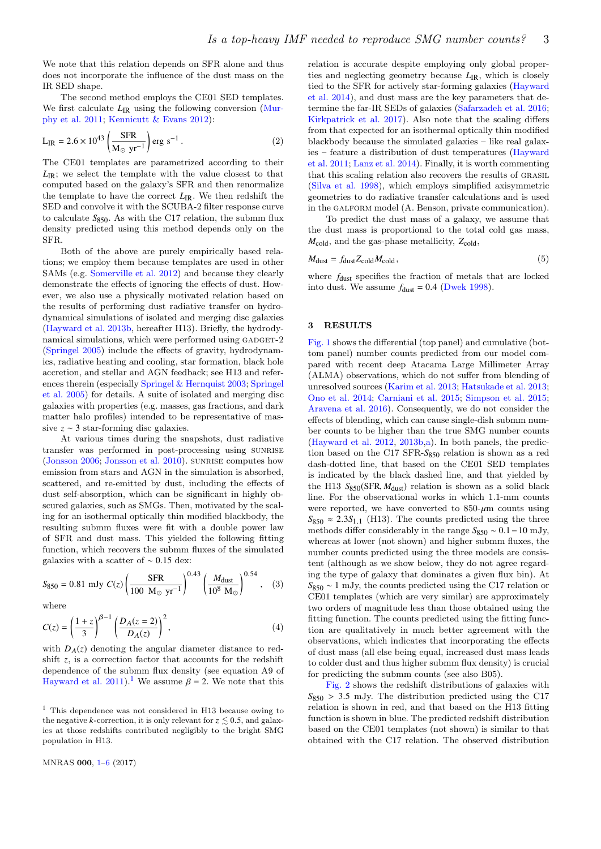We note that this relation depends on SFR alone and thus does not incorporate the influence of the dust mass on the IR SED shape.

The second method employs the CE01 SED templates. We first calculate  $L_{\text{IR}}$  using the following conversion [\(Mur](#page-5-37)[phy et al.](#page-5-37) [2011;](#page-5-37) [Kennicutt & Evans](#page-5-38) [2012\)](#page-5-38):

$$
L_{IR} = 2.6 \times 10^{43} \left( \frac{SFR}{M_{\odot} \text{ yr}^{-1}} \right) \text{erg s}^{-1} . \tag{2}
$$

The CE01 templates are parametrized according to their *L*<sub>IR</sub>; we select the template with the value closest to that computed based on the galaxy's SFR and then renormalize the template to have the correct  $L_{\text{IR}}$ . We then redshift the SED and convolve it with the SCUBA-2 filter response curve to calculate  $S_{850}$ . As with the C17 relation, the submm flux density predicted using this method depends only on the SFR.

Both of the above are purely empirically based relations; we employ them because templates are used in other SAMs (e.g. [Somerville et al.](#page-5-13) [2012\)](#page-5-13) and because they clearly demonstrate the effects of ignoring the effects of dust. However, we also use a physically motivated relation based on the results of performing dust radiative transfer on hydrodynamical simulations of isolated and merging disc galaxies [\(Hayward et al.](#page-5-27) [2013b,](#page-5-27) hereafter H13). Briefly, the hydrodynamical simulations, which were performed using GADGET-2 [\(Springel](#page-5-39) [2005\)](#page-5-39) include the effects of gravity, hydrodynamics, radiative heating and cooling, star formation, black hole accretion, and stellar and AGN feedback; see H13 and references therein (especially [Springel & Hernquist](#page-5-40) [2003;](#page-5-40) [Springel](#page-5-41) [et al.](#page-5-41) [2005\)](#page-5-41) for details. A suite of isolated and merging disc galaxies with properties (e.g. masses, gas fractions, and dark matter halo profiles) intended to be representative of massive *z* ∼ 3 star-forming disc galaxies.

At various times during the snapshots, dust radiative transfer was performed in post-processing using SUNRISE [\(Jonsson](#page-5-42) [2006;](#page-5-42) [Jonsson et al.](#page-5-43) [2010\)](#page-5-43). sunrise computes how emission from stars and AGN in the simulation is absorbed, scattered, and re-emitted by dust, including the effects of dust self-absorption, which can be significant in highly obscured galaxies, such as SMGs. Then, motivated by the scaling for an isothermal optically thin modified blackbody, the resulting submm fluxes were fit with a double power law of SFR and dust mass. This yielded the following fitting function, which recovers the submm fluxes of the simulated galaxies with a scatter of <sup>∼</sup> <sup>0</sup>.<sup>15</sup> dex:

$$
S_{850} = 0.81 \text{ mJy } C(z) \left( \frac{\text{SFR}}{100 \text{ M}_{\odot} \text{ yr}^{-1}} \right)^{0.43} \left( \frac{M_{\text{dust}}}{10^8 \text{ M}_{\odot}} \right)^{0.54}, \quad (3)
$$

where

$$
C(z) = \left(\frac{1+z}{3}\right)^{\beta-1} \left(\frac{D_A(z=2)}{D_A(z)}\right)^2,\tag{4}
$$

with  $D_A(z)$  denoting the angular diameter distance to redshift *z*, is a correction factor that accounts for the redshift dependence of the submm flux density (see equation A9 of [Hayward et al.](#page-5-26) [2011\)](#page-5-26).<sup>[1](#page-2-1)</sup> We assume  $\beta = 2$ . We note that this

MNRAS 000, [1–](#page-0-0)[6](#page-3-0) (2017)

relation is accurate despite employing only global properties and neglecting geometry because  $L_{IR}$ , which is closely tied to the SFR for actively star-forming galaxies [\(Hayward](#page-5-44) [et al.](#page-5-44) [2014\)](#page-5-44), and dust mass are the key parameters that determine the far-IR SEDs of galaxies [\(Safarzadeh et al.](#page-5-29) [2016;](#page-5-29) [Kirkpatrick et al.](#page-5-45) [2017\)](#page-5-45). Also note that the scaling differs from that expected for an isothermal optically thin modified blackbody because the simulated galaxies – like real galaxies – feature a distribution of dust temperatures [\(Hayward](#page-5-26) [et al.](#page-5-26) [2011;](#page-5-26) [Lanz et al.](#page-5-28) [2014\)](#page-5-28). Finally, it is worth commenting that this scaling relation also recovers the results of grasil [\(Silva et al.](#page-5-9) [1998\)](#page-5-9), which employs simplified axisymmetric geometries to do radiative transfer calculations and is used in the GALFORM model (A. Benson, private communication).

To predict the dust mass of a galaxy, we assume that the dust mass is proportional to the total cold gas mass,  $M_{\text{cold}}$ , and the gas-phase metallicity,  $Z_{\text{cold}}$ ,

$$
M_{\text{dust}} = f_{\text{dust}} Z_{\text{cold}} M_{\text{cold}},
$$
\n(5)

where  $f_{\text{dust}}$  specifies the fraction of metals that are locked into dust. We assume  $f_{\text{dust}} = 0.4$  [\(Dwek](#page-5-46) [1998\)](#page-5-46).

## <span id="page-2-0"></span>3 RESULTS

[Fig. 1](#page-3-1) shows the differential (top panel) and cumulative (bottom panel) number counts predicted from our model compared with recent deep Atacama Large Millimeter Array (ALMA) observations, which do not suffer from blending of unresolved sources [\(Karim et al.](#page-5-47) [2013;](#page-5-47) [Hatsukade et al.](#page-5-48) [2013;](#page-5-48) [Ono et al.](#page-5-49) [2014;](#page-5-49) [Carniani et al.](#page-5-50) [2015;](#page-5-50) [Simpson et al.](#page-5-51) [2015;](#page-5-51) [Aravena et al.](#page-5-52) [2016\)](#page-5-52). Consequently, we do not consider the effects of blending, which can cause single-dish submm number counts to be higher than the true SMG number counts [\(Hayward et al.](#page-5-53) [2012,](#page-5-53) [2013b](#page-5-27)[,a\)](#page-5-54). In both panels, the prediction based on the C17 SFR-S<sub>850</sub> relation is shown as a red dash-dotted line, that based on the CE01 SED templates is indicated by the black dashed line, and that yielded by the H13  $S_{850}$ (SFR,  $M_{\text{dust}}$ ) relation is shown as a solid black line. For the observational works in which 1.1-mm counts were reported, we have converted to  $850-\mu m$  counts using  $S_{850} \approx 2.3S_{1,1}$  (H13). The counts predicted using the three methods differ considerably in the range  $S_{850} \sim 0.1-10$  mJy, whereas at lower (not shown) and higher submm fluxes, the number counts predicted using the three models are consistent (although as we show below, they do not agree regarding the type of galaxy that dominates a given flux bin). At *S*<sup>850</sup> ∼ 1 mJy, the counts predicted using the C17 relation or CE01 templates (which are very similar) are approximately two orders of magnitude less than those obtained using the fitting function. The counts predicted using the fitting function are qualitatively in much better agreement with the observations, which indicates that incorporating the effects of dust mass (all else being equal, increased dust mass leads to colder dust and thus higher submm flux density) is crucial for predicting the submm counts (see also B05).

[Fig. 2](#page-3-2) shows the redshift distributions of galaxies with  $S_{850} > 3.5$  mJy. The distribution predicted using the C17 relation is shown in red, and that based on the H13 fitting function is shown in blue. The predicted redshift distribution based on the CE01 templates (not shown) is similar to that obtained with the C17 relation. The observed distribution

<span id="page-2-1"></span><sup>1</sup> This dependence was not considered in H13 because owing to the negative k-correction, it is only relevant for  $z \lesssim 0.5$ , and galaxies at those redshifts contributed negligibly to the bright SMG population in H13.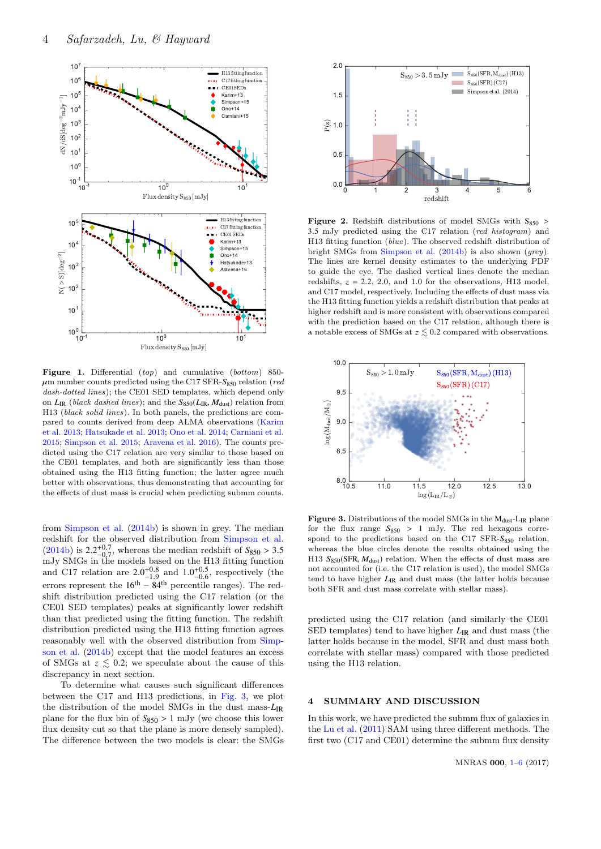<span id="page-3-1"></span>

Figure 1. Differential (top) and cumulative (bottom) 850- $\mu$ m number counts predicted using the C17 SFR-S<sub>850</sub> relation (*red*) dash-dotted lines); the CE01 SED templates, which depend only on  $L_{IR}$  (black dashed lines); and the  $S_{850}(L_{IR}, M_{dust})$  relation from H13 (black solid lines). In both panels, the predictions are compared to counts derived from deep ALMA observations [\(Karim](#page-5-47) [et al.](#page-5-47) [2013;](#page-5-47) [Hatsukade et al.](#page-5-48) [2013;](#page-5-48) [Ono et al.](#page-5-49) [2014;](#page-5-49) [Carniani et al.](#page-5-50) [2015;](#page-5-50) [Simpson et al.](#page-5-51) [2015;](#page-5-51) [Aravena et al.](#page-5-52) [2016\)](#page-5-52). The counts predicted using the C17 relation are very similar to those based on the CE01 templates, and both are significantly less than those obtained using the H13 fitting function; the latter agree much better with observations, thus demonstrating that accounting for the effects of dust mass is crucial when predicting submm counts.

from [Simpson et al.](#page-5-55) [\(2014b\)](#page-5-55) is shown in grey. The median redshift for the observed distribution from [Simpson et al.](#page-5-55)  $(2014b)$  is  $2.2^{+0.7}_{-0.7}$ , whereas the median redshift of  $S_{850} > 3.5$  mJy SMGs in the models based on the H13 fitting function and C17 relation are  $2.0^{+0.8}_{-1.9}$  and  $1.0^{+0.5}_{-0.6}$ , respectively (the errors represent the  $16<sup>th</sup> - 84<sup>th</sup>$  percentile ranges). The redshift distribution predicted using the C17 relation (or the CE01 SED templates) peaks at significantly lower redshift than that predicted using the fitting function. The redshift distribution predicted using the H13 fitting function agrees reasonably well with the observed distribution from [Simp](#page-5-55)[son et al.](#page-5-55) [\(2014b\)](#page-5-55) except that the model features an excess of SMGs at  $z \leq 0.2$ ; we speculate about the cause of this discrepancy in next section.

To determine what causes such significant differences between the C17 and H13 predictions, in [Fig. 3,](#page-3-3) we plot the distribution of the model SMGs in the dust mass-*L*IR plane for the flux bin of  $S_{850} > 1$  mJy (we choose this lower flux density cut so that the plane is more densely sampled). The difference between the two models is clear: the SMGs

<span id="page-3-2"></span>

**Figure 2.** Redshift distributions of model SMGs with  $S_{850}$ <sup>3</sup>.<sup>5</sup> mJy predicted using the C17 relation (red histogram) and H13 fitting function (blue). The observed redshift distribution of bright SMGs from [Simpson et al.](#page-5-55) [\(2014b\)](#page-5-55) is also shown (grey). The lines are kernel density estimates to the underlying PDF to guide the eye. The dashed vertical lines denote the median redshifts,  $z = 2.2$ , 2.0, and 1.0 for the observations, H13 model, and C17 model, respectively. Including the effects of dust mass via the H13 fitting function yields a redshift distribution that peaks at higher redshift and is more consistent with observations compared with the prediction based on the C17 relation, although there is a notable excess of SMGs at  $z \lesssim 0.2$  compared with observations.

<span id="page-3-3"></span>

Figure 3. Distributions of the model SMGs in the  $M_{dust}$ -L<sub>IR</sub> plane for the flux range  $S_{850} > 1$  mJy. The red hexagons correspond to the predictions based on the C17 SFR- $S_{850}$  relation, whereas the blue circles denote the results obtained using the H13  $S_{850}$ (SFR,  $M_{\text{dust}}$ ) relation. When the effects of dust mass are not accounted for (i.e. the C17 relation is used), the model SMGs tend to have higher  $L_{IR}$  and dust mass (the latter holds because both SFR and dust mass correlate with stellar mass).

predicted using the C17 relation (and similarly the CE01 SED templates) tend to have higher  $L_{IR}$  and dust mass (the latter holds because in the model, SFR and dust mass both correlate with stellar mass) compared with those predicted using the H13 relation.

## <span id="page-3-0"></span>4 SUMMARY AND DISCUSSION

In this work, we have predicted the submm flux of galaxies in the [Lu et al.](#page-5-21) [\(2011\)](#page-5-21) SAM using three different methods. The first two (C17 and CE01) determine the submm flux density

MNRAS 000, [1](#page-0-0)[–6](#page-3-0) (2017)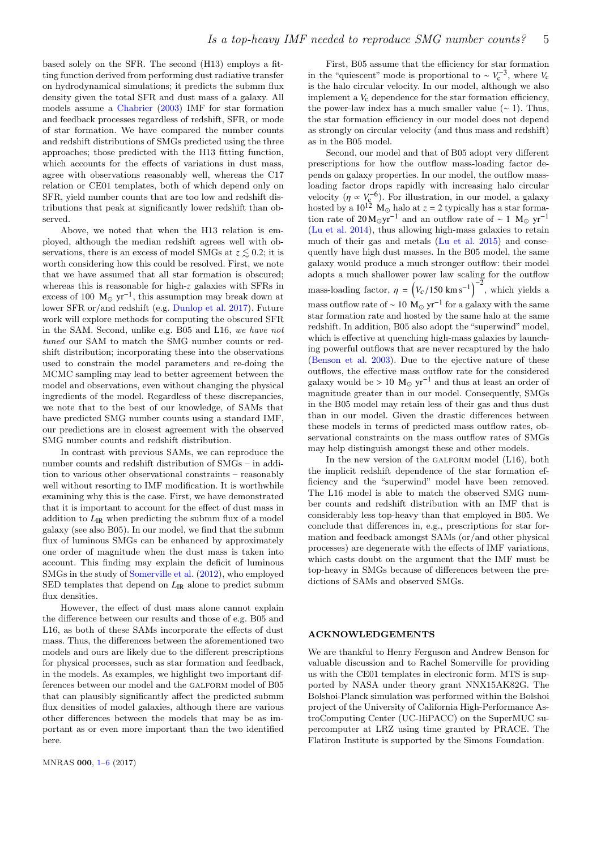based solely on the SFR. The second (H13) employs a fitting function derived from performing dust radiative transfer on hydrodynamical simulations; it predicts the submm flux density given the total SFR and dust mass of a galaxy. All models assume a [Chabrier](#page-5-15) [\(2003\)](#page-5-15) IMF for star formation and feedback processes regardless of redshift, SFR, or mode of star formation. We have compared the number counts and redshift distributions of SMGs predicted using the three approaches; those predicted with the H13 fitting function, which accounts for the effects of variations in dust mass, agree with observations reasonably well, whereas the C17 relation or CE01 templates, both of which depend only on SFR, yield number counts that are too low and redshift distributions that peak at significantly lower redshift than observed.

Above, we noted that when the H13 relation is employed, although the median redshift agrees well with observations, there is an excess of model SMGs at  $z \leq 0.2$ ; it is worth considering how this could be resolved. First, we note that we have assumed that all star formation is obscured; whereas this is reasonable for high-*z* galaxies with SFRs in excess of 100  $M_{\odot}$  yr<sup>-1</sup>, this assumption may break down at lower SFR or/and redshift (e.g. [Dunlop et al.](#page-5-56) [2017\)](#page-5-56). Future work will explore methods for computing the obscured SFR in the SAM. Second, unlike e.g. B05 and L16, we have not tuned our SAM to match the SMG number counts or redshift distribution; incorporating these into the observations used to constrain the model parameters and re-doing the MCMC sampling may lead to better agreement between the model and observations, even without changing the physical ingredients of the model. Regardless of these discrepancies, we note that to the best of our knowledge, of SAMs that have predicted SMG number counts using a standard IMF. our predictions are in closest agreement with the observed SMG number counts and redshift distribution.

In contrast with previous SAMs, we can reproduce the number counts and redshift distribution of SMGs – in addition to various other observational constraints – reasonably well without resorting to IMF modification. It is worthwhile examining why this is the case. First, we have demonstrated that it is important to account for the effect of dust mass in addition to  $L_{\text{IR}}$  when predicting the submm flux of a model galaxy (see also B05). In our model, we find that the submm flux of luminous SMGs can be enhanced by approximately one order of magnitude when the dust mass is taken into account. This finding may explain the deficit of luminous SMGs in the study of [Somerville et al.](#page-5-13) [\(2012\)](#page-5-13), who employed SED templates that depend on  $L_{\text{IR}}$  alone to predict submm flux densities.

However, the effect of dust mass alone cannot explain the difference between our results and those of e.g. B05 and L16, as both of these SAMs incorporate the effects of dust mass. Thus, the differences between the aforementioned two models and ours are likely due to the different prescriptions for physical processes, such as star formation and feedback, in the models. As examples, we highlight two important differences between our model and the GALFORM model of B05 that can plausibly significantly affect the predicted submm flux densities of model galaxies, although there are various other differences between the models that may be as important as or even more important than the two identified here.

First, B05 assume that the efficiency for star formation in the "quiescent" mode is proportional to  $\sim V_c^{-3}$ , where *V<sub>c</sub>* is the halo circular velocity. In our model, although we also implement a  $V_c$  dependence for the star formation efficiency, the power-law index has a much smaller value  $(~ 1)$ . Thus, the star formation efficiency in our model does not depend as strongly on circular velocity (and thus mass and redshift) as in the B05 model.

Second, our model and that of B05 adopt very different prescriptions for how the outflow mass-loading factor depends on galaxy properties. In our model, the outflow massloading factor drops rapidly with increasing halo circular velocity  $(\eta \propto V_c^{-6})$ . For illustration, in our model, a galaxy<br>hosted by a  $10^{12}$  M<sub>o</sub> halo at  $z = 2$  typically has a star formahosted by a  $10^{12}$  M<sub>\o </sub> halo at  $z = 2$  typically has a star formation rate of  $20 M_{\odot}yr^{-1}$  and an outflow rate of ~ 1 M<sub>☉</sub> yr<sup>-1</sup> [\(Lu et al.](#page-5-30) [2014\)](#page-5-30), thus allowing high-mass galaxies to retain much of their gas and metals [\(Lu et al.](#page-5-57) [2015\)](#page-5-57) and consequently have high dust masses. In the B05 model, the same galaxy would produce a much stronger outflow: their model adopts a much shallower power law scaling for the outflow mass-loading factor,  $\eta = (V_c/150 \text{ km s}^{-1})^{-2}$ , which yields a mass outflow rate of  $\sim 10\,$  M<sub>☉</sub> yr<sup>-1</sup> for a galaxy with the same star formation rate and hosted by the same halo at the same redshift. In addition, B05 also adopt the "superwind" model, which is effective at quenching high-mass galaxies by launching powerful outflows that are never recaptured by the halo [\(Benson et al.](#page-5-58) [2003\)](#page-5-58). Due to the ejective nature of these outflows, the effective mass outflow rate for the considered galaxy would be > 10  $M_{\odot}$  yr<sup>-1</sup> and thus at least an order of magnitude greater than in our model. Consequently, SMGs in the B05 model may retain less of their gas and thus dust than in our model. Given the drastic differences between these models in terms of predicted mass outflow rates, observational constraints on the mass outflow rates of SMGs may help distinguish amongst these and other models.

In the new version of the GALFORM model  $(L16)$ , both the implicit redshift dependence of the star formation efficiency and the "superwind" model have been removed. The L16 model is able to match the observed SMG number counts and redshift distribution with an IMF that is considerably less top-heavy than that employed in B05. We conclude that differences in, e.g., prescriptions for star formation and feedback amongst SAMs (or/and other physical processes) are degenerate with the effects of IMF variations, which casts doubt on the argument that the IMF must be top-heavy in SMGs because of differences between the predictions of SAMs and observed SMGs.

## ACKNOWLEDGEMENTS

We are thankful to Henry Ferguson and Andrew Benson for valuable discussion and to Rachel Somerville for providing us with the CE01 templates in electronic form. MTS is supported by NASA under theory grant NNX15AK82G. The Bolshoi-Planck simulation was performed within the Bolshoi project of the University of California High-Performance AstroComputing Center (UC-HiPACC) on the SuperMUC supercomputer at LRZ using time granted by PRACE. The Flatiron Institute is supported by the Simons Foundation.